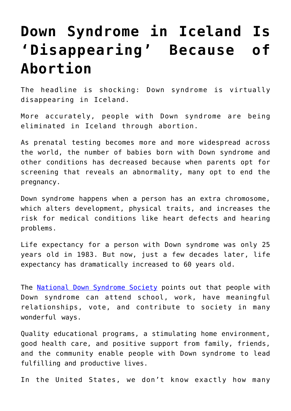## **[Down Syndrome in Iceland Is](https://intellectualtakeout.org/2017/08/down-syndrome-in-iceland-is-disappearing-because-of-abortion/) ['Disappearing' Because of](https://intellectualtakeout.org/2017/08/down-syndrome-in-iceland-is-disappearing-because-of-abortion/) [Abortion](https://intellectualtakeout.org/2017/08/down-syndrome-in-iceland-is-disappearing-because-of-abortion/)**

The headline is shocking: Down syndrome is virtually disappearing in Iceland.

More accurately, people with Down syndrome are being eliminated in Iceland through abortion.

As prenatal testing becomes more and more widespread across the world, the number of babies born with Down syndrome and other conditions has decreased because when parents opt for screening that reveals an abnormality, many opt to end the pregnancy.

Down syndrome happens when a person has an extra chromosome, which alters development, physical traits, and increases the risk for medical conditions like heart defects and hearing problems.

Life expectancy for a person with Down syndrome was only 25 years old in 1983. But now, just a few decades later, life expectancy has dramatically increased to 60 years old.

The [National Down Syndrome Society](http://www.ndss.org/Down-Syndrome/Down-Syndrome-Facts/) points out that people with Down syndrome can attend school, work, have meaningful relationships, vote, and contribute to society in many wonderful ways.

Quality educational programs, a stimulating home environment, good health care, and positive support from family, friends, and the community enable people with Down syndrome to lead fulfilling and productive lives.

In the United States, we don't know exactly how many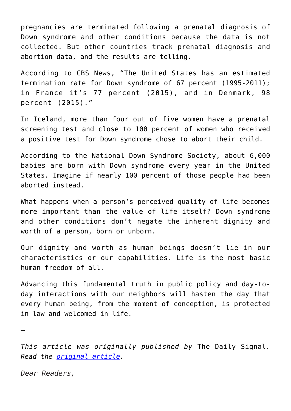pregnancies are terminated following a prenatal diagnosis of Down syndrome and other conditions because the data is not collected. But other countries track prenatal diagnosis and abortion data, and the results are telling.

According to CBS News, "The United States has an estimated termination rate for Down syndrome of 67 percent (1995-2011); in France it's 77 percent (2015), and in Denmark, 98 percent (2015)."

In Iceland, more than four out of five women have a prenatal screening test and close to 100 percent of women who received a positive test for Down syndrome chose to abort their child.

According to the National Down Syndrome Society, about 6,000 babies are born with Down syndrome every year in the United States. Imagine if nearly 100 percent of those people had been aborted instead.

What happens when a person's perceived quality of life becomes more important than the value of life itself? Down syndrome and other conditions don't negate the inherent dignity and worth of a person, born or unborn.

Our dignity and worth as human beings doesn't lie in our characteristics or our capabilities. Life is the most basic human freedom of all.

Advancing this fundamental truth in public policy and day-today interactions with our neighbors will hasten the day that every human being, from the moment of conception, is protected in law and welcomed in life.

—

*This article was originally published by* The Daily Signal*. Read the [original article.](http://dailysignal.com/2017/08/15/iceland-aborting-nearly-babies-syndrome/)*

*Dear Readers,*